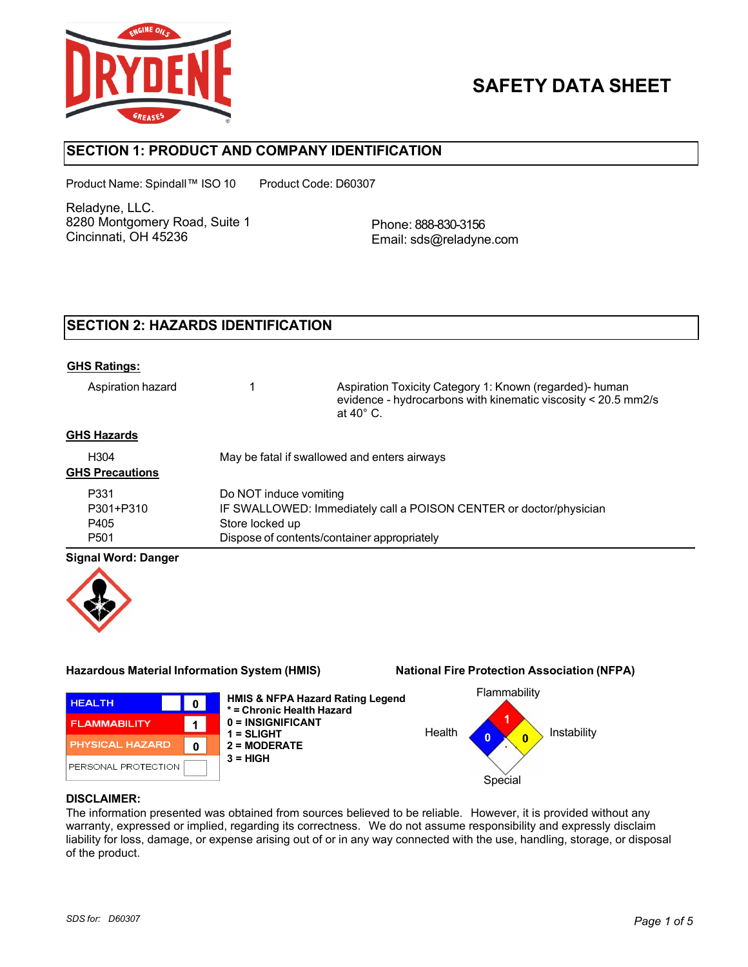

# **SAFETY DATA SHEET**

# **SECTION 1: PRODUCT AND COMPANY IDENTIFICATION**

Product Name: Spindall™ ISO 10 Product Code: D60307

Reladyne, LLC. 8280 Montgomery Road, Suite 1 Cincinnati, OH 45236

Phone: 888-830-3156 Email: sds@reladyne.com

# **SECTION 2: HAZARDS IDENTIFICATION**

#### **GHS Ratings:**

Aspiration hazard 1 Aspiration Toxicity Category 1: Known (regarded)- human evidence - hydrocarbons with kinematic viscosity < 20.5 mm2/s at 40° C.

### **GHS Hazards**

| H <sub>304</sub><br><b>GHS Precautions</b> | May be fatal if swallowed and enters airways                       |
|--------------------------------------------|--------------------------------------------------------------------|
| P331                                       | Do NOT induce vomiting                                             |
| P301+P310                                  | IF SWALLOWED: Immediately call a POISON CENTER or doctor/physician |
| P405                                       | Store locked up                                                    |
| P <sub>501</sub>                           | Dispose of contents/container appropriately                        |

### **Signal Word: Danger**



### **Hazardous Material Information System (HMIS) National Fire Protection Association (NFPA)**



**HMIS & NFPA Hazard Rating Legend \* = Chronic Health Hazard 0 = INSIGNIFICANT 1 = SLIGHT 2 = MODERATE 3 = HIGH**



#### **DISCLAIMER:**

The information presented was obtained from sources believed to be reliable. However, it is provided without any warranty, expressed or implied, regarding its correctness. We do not assume responsibility and expressly disclaim liability for loss, damage, or expense arising out of or in any way connected with the use, handling, storage, or disposal of the product.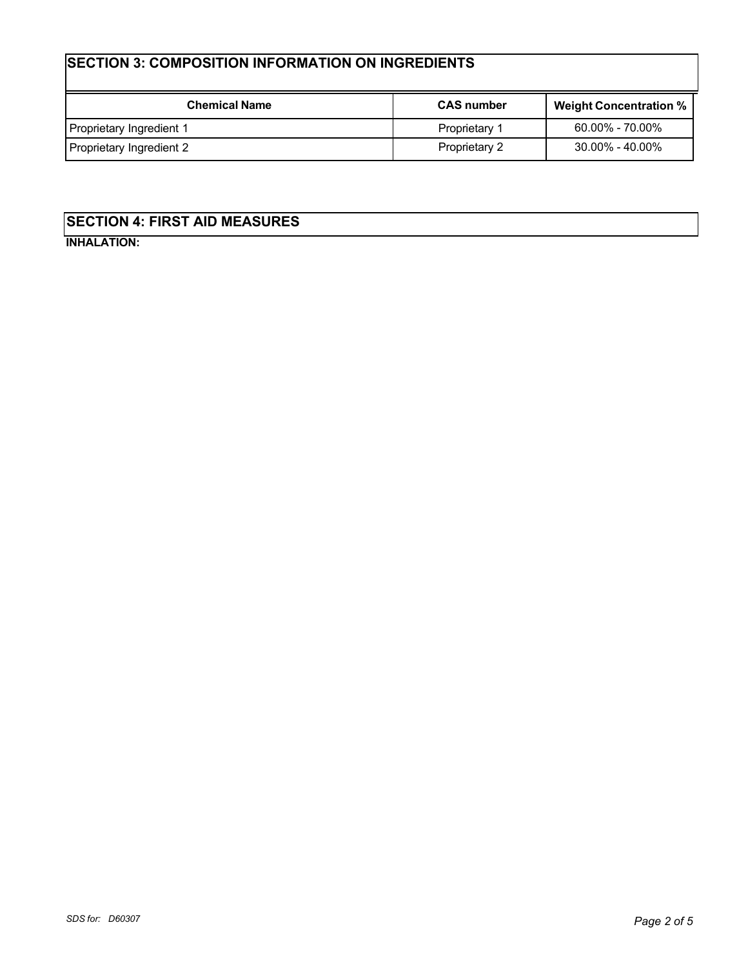# **SECTION 3: COMPOSITION INFORMATION ON INGREDIENTS**

| <b>Chemical Name</b>     | <b>CAS number</b> | <b>Weight Concentration %</b> |
|--------------------------|-------------------|-------------------------------|
| Proprietary Ingredient 1 | Proprietary 1     | $60.00\%$ - $70.00\%$         |
| Proprietary Ingredient 2 | Proprietary 2     | 30.00% - 40.00%               |

# **SECTION 4: FIRST AID MEASURES**

**INHALATION:**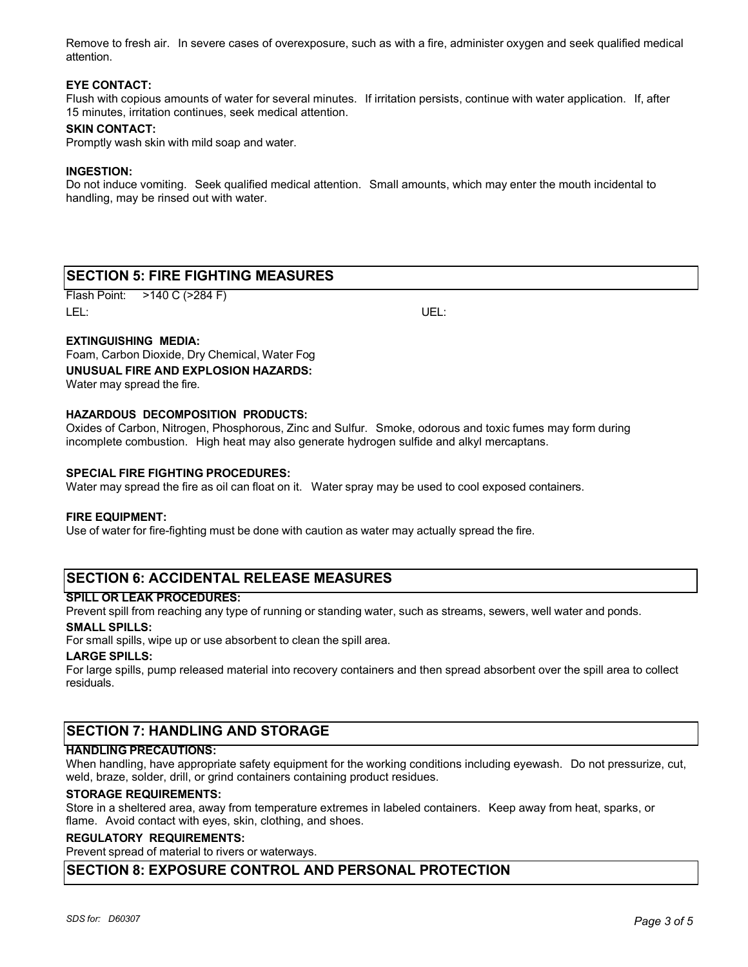Remove to fresh air. In severe cases of overexposure, such as with a fire, administer oxygen and seek qualified medical attention.

#### **EYE CONTACT:**

Flush with copious amounts of water for several minutes. If irritation persists, continue with water application. If, after 15 minutes, irritation continues, seek medical attention.

#### **SKIN CONTACT:**

Promptly wash skin with mild soap and water.

#### **INGESTION:**

Do not induce vomiting. Seek qualified medical attention. Small amounts, which may enter the mouth incidental to handling, may be rinsed out with water.

# **SECTION 5: FIRE FIGHTING MEASURES**

Flash Point: >140 C (>284 F) LEL: UEL:

### **EXTINGUISHING MEDIA:**

Foam, Carbon Dioxide, Dry Chemical, Water Fog **UNUSUAL FIRE AND EXPLOSION HAZARDS:** Water may spread the fire.

# **HAZARDOUS DECOMPOSITION PRODUCTS:**

Oxides of Carbon, Nitrogen, Phosphorous, Zinc and Sulfur. Smoke, odorous and toxic fumes may form during incomplete combustion. High heat may also generate hydrogen sulfide and alkyl mercaptans.

#### **SPECIAL FIRE FIGHTING PROCEDURES:**

Water may spread the fire as oil can float on it. Water spray may be used to cool exposed containers.

#### **FIRE EQUIPMENT:**

Use of water for fire-fighting must be done with caution as water may actually spread the fire.

# **SECTION 6: ACCIDENTAL RELEASE MEASURES**

#### **SPILL OR LEAK PROCEDURES:**

Prevent spill from reaching any type of running or standing water, such as streams, sewers, well water and ponds.

# **SMALL SPILLS:**

For small spills, wipe up or use absorbent to clean the spill area.

#### **LARGE SPILLS:**

For large spills, pump released material into recovery containers and then spread absorbent over the spill area to collect residuals.

# **SECTION 7: HANDLING AND STORAGE**

#### **HANDLING PRECAUTIONS:**

When handling, have appropriate safety equipment for the working conditions including eyewash. Do not pressurize, cut, weld, braze, solder, drill, or grind containers containing product residues.

#### **STORAGE REQUIREMENTS:**

Store in a sheltered area, away from temperature extremes in labeled containers. Keep away from heat, sparks, or flame. Avoid contact with eyes, skin, clothing, and shoes.

#### **REGULATORY REQUIREMENTS:**

Prevent spread of material to rivers or waterways.

# **SECTION 8: EXPOSURE CONTROL AND PERSONAL PROTECTION**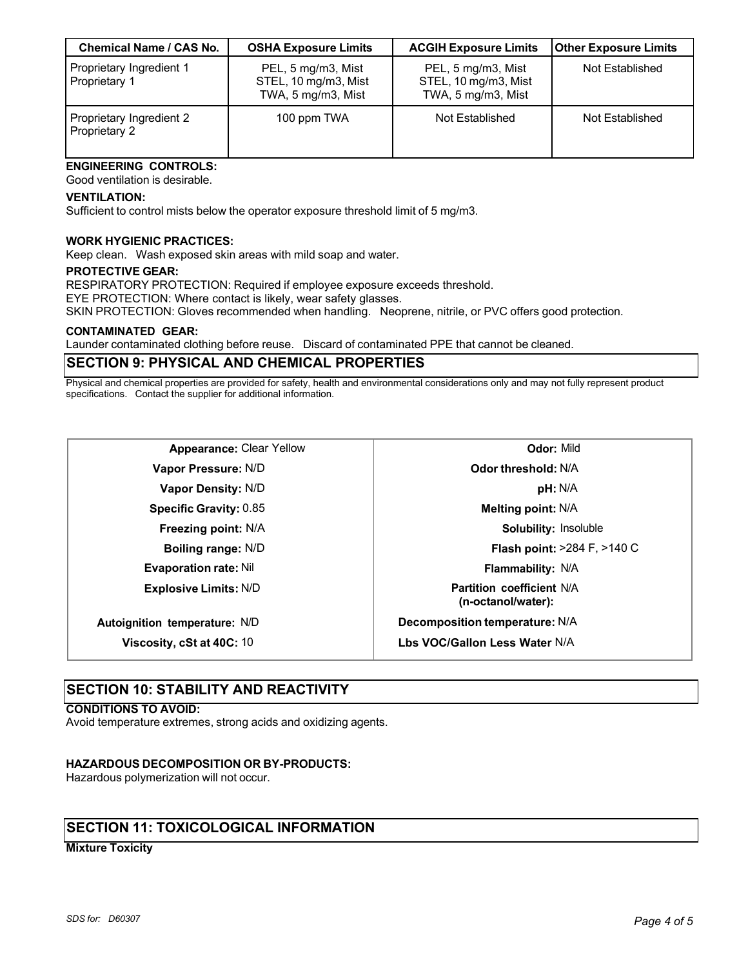| <b>Chemical Name / CAS No.</b>            | <b>OSHA Exposure Limits</b>                                      | <b>ACGIH Exposure Limits</b>                                     | <b>Other Exposure Limits</b> |
|-------------------------------------------|------------------------------------------------------------------|------------------------------------------------------------------|------------------------------|
| Proprietary Ingredient 1<br>Proprietary 1 | PEL, 5 mg/m3, Mist<br>STEL, 10 mg/m3, Mist<br>TWA, 5 mg/m3, Mist | PEL, 5 mg/m3, Mist<br>STEL, 10 mg/m3, Mist<br>TWA, 5 mg/m3, Mist | Not Established              |
| Proprietary Ingredient 2<br>Proprietary 2 | 100 ppm TWA                                                      | Not Established                                                  | Not Established              |

#### **ENGINEERING CONTROLS:** Good ventilation is desirable.

#### **VENTILATION:**

Sufficient to control mists below the operator exposure threshold limit of 5 mg/m3.

#### **WORK HYGIENIC PRACTICES:**

Keep clean. Wash exposed skin areas with mild soap and water.

#### **PROTECTIVE GEAR:**

RESPIRATORY PROTECTION: Required if employee exposure exceeds threshold.

EYE PROTECTION: Where contact is likely, wear safety glasses.

SKIN PROTECTION: Gloves recommended when handling. Neoprene, nitrile, or PVC offers good protection.

#### **CONTAMINATED GEAR:**

Launder contaminated clothing before reuse. Discard of contaminated PPE that cannot be cleaned.

# **SECTION 9: PHYSICAL AND CHEMICAL PROPERTIES**

Physical and chemical properties are provided for safety, health and environmental considerations only and may not fully represent product specifications. Contact the supplier for additional information.

| <b>Appearance: Clear Yellow</b> |  |  |
|---------------------------------|--|--|
|---------------------------------|--|--|

**Vapor Pressure:** N/D **Vapor Density:** N/D **Specific Gravity:** 0.85 **Freezing point:** N/A **Boiling range:** N/D **Evaporation rate:** Nil

**Explosive Limits:** N/D

**Autoignition temperature:** N/D

**Viscosity, cSt at 40C:** 10

# **Odor:** Mild **Odor threshold:** N/A **pH:** N/A **Melting point:** N/A **Solubility:** Insoluble **Flash point:** >284 F, >140 C **Flammability:** N/A **Partition coefficient** N/A **(n-octanol/water): Decomposition temperature:** N/A **Lbs VOC/Gallon Less Water** N/A

# **SECTION 10: STABILITY AND REACTIVITY**

#### **CONDITIONS TO AVOID:**

Avoid temperature extremes, strong acids and oxidizing agents.

### **HAZARDOUS DECOMPOSITION OR BY-PRODUCTS:**

Hazardous polymerization will not occur.

# **SECTION 11: TOXICOLOGICAL INFORMATION**

#### **Mixture Toxicity**